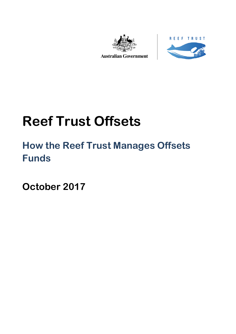



**Australian Government** 

# **Reef Trust Offsets**

## **How the Reef Trust Manages Offsets Funds**

**October 2017**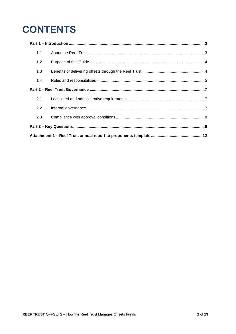## **CONTENTS**

| 1.1 |  |  |  |
|-----|--|--|--|
| 1.2 |  |  |  |
| 1.3 |  |  |  |
| 1.4 |  |  |  |
|     |  |  |  |
| 2.1 |  |  |  |
| 2.2 |  |  |  |
| 2.3 |  |  |  |
|     |  |  |  |
|     |  |  |  |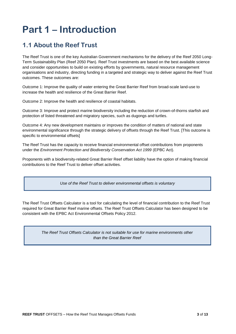## <span id="page-2-0"></span>**Part 1 – Introduction**

## <span id="page-2-1"></span>**1.1 About the Reef Trust**

The Reef Trust is one of the key Australian Government mechanisms for the delivery of the Reef 2050 Long-Term Sustainability Plan (Reef 2050 Plan). Reef Trust investments are based on the best available science and consider opportunities to build on existing efforts by governments, natural resource management organisations and industry, directing funding in a targeted and strategic way to deliver against the Reef Trust outcomes. These outcomes are:

Outcome 1: Improve the quality of water entering the Great Barrier Reef from broad-scale land-use to increase the health and resilience of the Great Barrier Reef.

Outcome 2: Improve the health and resilience of coastal habitats.

Outcome 3: Improve and protect marine biodiversity including the reduction of crown-of-thorns starfish and protection of listed threatened and migratory species, such as dugongs and turtles.

Outcome 4: Any new development maintains or improves the condition of matters of national and state environmental significance through the strategic delivery of offsets through the Reef Trust. [This outcome is specific to environmental offsets]

The Reef Trust has the capacity to receive financial environmental offset contributions from proponents under the *Environment Protection and Biodiversity Conservation Act 1999* (EPBC Act).

Proponents with a biodiversity-related Great Barrier Reef offset liability have the option of making financial contributions to the Reef Trust to deliver offset activities.

*Use of the Reef Trust to deliver environmental offsets is voluntary*

The Reef Trust Offsets Calculator is a tool for calculating the level of financial contribution to the Reef Trust required for Great Barrier Reef marine offsets. The Reef Trust Offsets Calculator has been designed to be consistent with the EPBC Act Environmental Offsets Policy 2012.

> *The Reef Trust Offsets Calculator is not suitable for use for marine environments other than the Great Barrier Reef*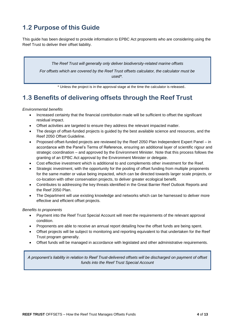## <span id="page-3-0"></span>**1.2 Purpose of this Guide**

This guide has been designed to provide information to EPBC Act proponents who are considering using the Reef Trust to deliver their offset liability.

*The Reef Trust will generally only deliver biodiversity-related marine offsets For offsets which are covered by the Reef Trust offsets calculator, the calculator must be used\*.*

\* Unless the project is in the approval stage at the time the calculator is released.

## <span id="page-3-1"></span>**1.3 Benefits of delivering offsets through the Reef Trust**

#### *Environmental benefits*

- Increased certainty that the financial contribution made will be sufficient to offset the significant residual impact.
- Offset activities are targeted to ensure they address the relevant impacted matter.
- The design of offset-funded projects is guided by the best available science and resources, and the Reef 2050 Offset Guideline.
- Proposed offset-funded projects are reviewed by the Reef 2050 Plan Independent Expert Panel in accordance with the Panel's Terms of Reference, ensuring an additional layer of scientific rigour and strategic coordination – and approved by the Environment Minister. Note that this process follows the granting of an EPBC Act approval by the Environment Minister or delegate.
- Cost effective investment which is additional to and complements other investment for the Reef.
- Strategic investment, with the opportunity for the pooling of offset funding from multiple proponents for the same matter or value being impacted, which can be directed towards larger scale projects, or co-location with other conservation projects, to deliver greater ecological benefit.
- Contributes to addressing the key threats identified in the Great Barrier Reef Outlook Reports and the Reef 2050 Plan.
- The Department will use existing knowledge and networks which can be harnessed to deliver more effective and efficient offset projects.

#### *Benefits to proponents*

- Payment into the Reef Trust Special Account will meet the requirements of the relevant approval condition.
- Proponents are able to receive an annual report detailing how the offset funds are being spent.
- Offset projects will be subject to monitoring and reporting equivalent to that undertaken for the Reef Trust program generally.
- Offset funds will be managed in accordance with legislated and other administrative requirements.

*A proponent's liability in relation to Reef Trust-delivered offsets will be discharged on payment of offset funds into the Reef Trust Special Account*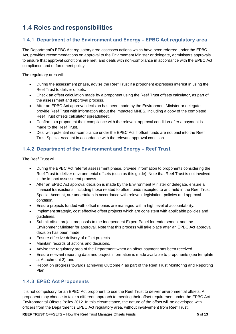## <span id="page-4-0"></span>**1.4 Roles and responsibilities**

### **1.4.1 Department of the Environment and Energy – EPBC Act regulatory area**

The Department's EPBC Act regulatory area assesses actions which have been referred under the EPBC Act, provides recommendations on approval to the Environment Minister or delegate, administers approvals to ensure that approval conditions are met, and deals with non-compliance in accordance with the EPBC Act compliance and enforcement policy.

The regulatory area will:

- During the assessment phase, advise the Reef Trust if a proponent expresses interest in using the Reef Trust to deliver offsets.
- Check an offset calculation made by a proponent using the Reef Trust offsets calculator, as part of the assessment and approval process.
- After an EPBC Act approval decision has been made by the Environment Minister or delegate, provide Reef Trust with information about the impacted MNES, including a copy of the completed Reef Trust offsets calculator spreadsheet.
- Confirm to a proponent their compliance with the relevant approval condition after a payment is made to the Reef Trust.
- Deal with potential non-compliance under the EPBC Act if offset funds are not paid into the Reef Trust Special Account in accordance with the relevant approval condition.

### **1.4.2 Department of the Environment and Energy – Reef Trust**

The Reef Trust will:

- During the EPBC Act referral assessment phase, provide information to proponents considering the Reef Trust to deliver environmental offsets (such as this guide). Note that Reef Trust is not involved in the impact assessment process.
- After an EPBC Act approval decision is made by the Environment Minister or delegate, ensure all financial transactions, including those related to offset funds receipted to and held in the Reef Trust Special Account, are undertaken in accordance with relevant legislation, policies and approval condition.
- Ensure projects funded with offset monies are managed with a high level of accountability.
- Implement strategic, cost effective offset projects which are consistent with applicable policies and guidelines.
- Submit offset project proposals to the Independent Expert Panel for endorsement and the Environment Minister for approval. Note that this process will take place after an EPBC Act approval decision has been made.
- Ensure effective delivery of offset projects.
- Maintain records of actions and decisions.
- Advise the regulatory area of the Department when an offset payment has been received.
- Ensure relevant reporting data and project information is made available to proponents (see template at Attachment 2); and
- Report on progress towards achieving Outcome 4 as part of the Reef Trust Monitoring and Reporting Plan.

### **1.4.3 EPBC Act Proponents**

It is not compulsory for an EPBC Act proponent to use the Reef Trust to deliver environmental offsets. A proponent may choose to take a different approach to meeting their offset requirement under the EPBC Act Environmental Offsets Policy 2012. In this circumstance, the nature of the offset will be developed with officers from the Department's EPBC Act regulatory area, without involvement from Reef Trust.

**REEF TRUST** OFFSETS – How the Reef Trust Manages Offsets Funds **5** of **13**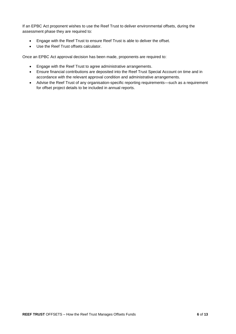If an EPBC Act proponent wishes to use the Reef Trust to deliver environmental offsets, during the assessment phase they are required to:

- Engage with the Reef Trust to ensure Reef Trust is able to deliver the offset.
- Use the Reef Trust offsets calculator.

Once an EPBC Act approval decision has been made, proponents are required to:

- Engage with the Reef Trust to agree administrative arrangements.
- Ensure financial contributions are deposited into the Reef Trust Special Account on time and in accordance with the relevant approval condition and administrative arrangements.
- Advise the Reef Trust of any organisation-specific reporting requirements—such as a requirement for offset project details to be included in annual reports.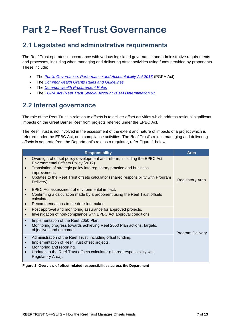## <span id="page-6-0"></span>**Part 2 – Reef Trust Governance**

## <span id="page-6-1"></span>**2.1 Legislated and administrative requirements**

The Reef Trust operates in accordance with various legislated governance and administrative requirements and processes, including when managing and delivering offset activities using funds provided by proponents. These include:

- The *[Public Governance, Performance and Accountability Act 2013](https://www.legislation.gov.au/Details/C2013A00123)* (PGPA Act)
- The *[Commonwealth Grants Rules and Guidelines](https://www.finance.gov.au/resource-management/grants/)*
- The *[Commonwealth Procurement Rules](https://www.finance.gov.au/procurement/procurement-policy-and-guidance/commonwealth-procurement-rules/)*
- The *[PGPA Act \(Reef Trust Special Account 2014\) Determination 01](https://www.legislation.gov.au/Details/F2014L01218)*

## <span id="page-6-2"></span>**2.2 Internal governance**

The role of the Reef Trust in relation to offsets is to deliver offset activities which address residual significant impacts on the Great Barrier Reef from projects referred under the EPBC Act.

The Reef Trust is not involved in the assessment of the extent and nature of impacts of a project which is referred under the EPBC Act, or in compliance activities. The Reef Trust's role in managing and delivering offsets is separate from the Department's role as a regulator, refer Figure 1 below.

|           | <b>Responsibility</b>                                                                                                                                                                                                                                                                                        | Area                   |
|-----------|--------------------------------------------------------------------------------------------------------------------------------------------------------------------------------------------------------------------------------------------------------------------------------------------------------------|------------------------|
|           | Oversight of offset policy development and reform, including the EPBC Act<br>Environmental Offsets Policy (2012).<br>Translation of strategic policy into regulatory practice and business<br>improvement.<br>Updates to the Reef Trust offsets calculator (shared responsibility with Program<br>Delivery). | <b>Regulatory Area</b> |
| $\bullet$ | EPBC Act assessment of environmental impact.<br>Confirming a calculation made by a proponent using the Reef Trust offsets<br>calculator.<br>Recommendations to the decision maker.<br>Post approval and monitoring assurance for approved projects.                                                          |                        |
|           | Investigation of non-compliance with EPBC Act approval conditions.                                                                                                                                                                                                                                           |                        |
|           | Implementation of the Reef 2050 Plan.<br>Monitoring progress towards achieving Reef 2050 Plan actions, targets,<br>objectives and outcomes.                                                                                                                                                                  | Program Delivery       |
|           | Administration of the Reef Trust, including offset funding.<br>Implementation of Reef Trust offset projects.<br>Monitoring and reporting.<br>Updates to the Reef Trust offsets calculator (shared responsibility with<br>Regulatory Area).                                                                   |                        |

**Figure 1: Overview of offset-related responsibilities across the Department**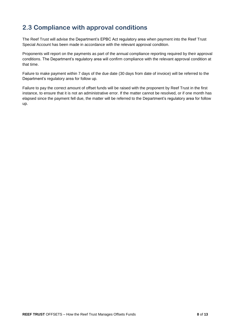## <span id="page-7-0"></span>**2.3 Compliance with approval conditions**

The Reef Trust will advise the Department's EPBC Act regulatory area when payment into the Reef Trust Special Account has been made in accordance with the relevant approval condition.

Proponents will report on the payments as part of the annual compliance reporting required by their approval conditions. The Department's regulatory area will confirm compliance with the relevant approval condition at that time.

Failure to make payment within 7 days of the due date (30 days from date of invoice) will be referred to the Department's regulatory area for follow up.

Failure to pay the correct amount of offset funds will be raised with the proponent by Reef Trust in the first instance, to ensure that it is not an administrative error. If the matter cannot be resolved, or if one month has elapsed since the payment fell due, the matter will be referred to the Department's regulatory area for follow up.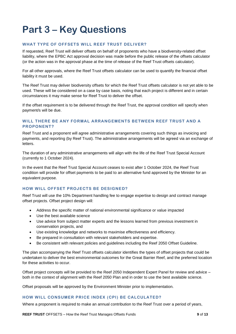## <span id="page-8-0"></span>**Part 3 – Key Questions**

#### **WHAT TYPE OF OFFSETS WILL REEF TRUST DELIVER?**

If requested, Reef Trust will deliver offsets on behalf of proponents who have a biodiversity-related offset liability, where the EPBC Act approval decision was made before the public release of the offsets calculator (or the action was in the approval phase at the time of release of the Reef Trust offsets calculator).

For all other approvals, where the Reef Trust offsets calculator can be used to quantify the financial offset liability it must be used.

The Reef Trust may deliver biodiversity offsets for which the Reef Trust offsets calculator is not yet able to be used. These will be considered on a case by case basis, noting that each project is different and in certain circumstances it may make sense for Reef Trust to deliver the offset.

If the offset requirement is to be delivered through the Reef Trust, the approval condition will specify when payment/s will be due.

### **WILL THERE BE ANY FORMAL ARRANGEMENTS BETWEEN REEF TRUST AND A PROPONENT?**

Reef Trust and a proponent will agree administrative arrangements covering such things as invoicing and payments, and reporting (by Reef Trust). The administrative arrangements will be agreed via an exchange of letters.

The duration of any administrative arrangements will align with the life of the Reef Trust Special Account (currently to 1 October 2024).

In the event that the Reef Trust Special Account ceases to exist after 1 October 2024, the Reef Trust condition will provide for offset payments to be paid to an alternative fund approved by the Minister for an equivalent purpose.

#### **HOW WILL OFFSET PROJECTS BE DESIGNED?**

Reef Trust will use the 10% Department handling fee to engage expertise to design and contract manage offset projects. Offset project design will:

- Address the specific matter of national environmental significance or value impacted
- Use the best available science
- Use advice from subject matter experts and the lessons learned from previous investment in conservation projects, and
- Use existing knowledge and networks to maximise effectiveness and efficiency.
- Be prepared in consultation with relevant stakeholders and expertise.
- Be consistent with relevant policies and guidelines including the Reef 2050 Offset Guideline.

The plan accompanying the Reef Trust offsets calculator identifies the types of offset projects that could be undertaken to deliver the best environmental outcomes for the Great Barrier Reef, and the preferred location for these activities to occur.

Offset project concepts will be provided to the Reef 2050 Independent Expert Panel for review and advice – both in the context of alignment with the Reef 2050 Plan and in order to use the best available science.

Offset proposals will be approved by the Environment Minister prior to implementation.

#### **HOW WILL CONSUMER PRICE INDEX (CPI) BE CALCULATED?**

Where a proponent is required to make an annual contribution to the Reef Trust over a period of years,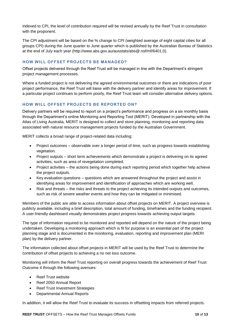indexed to CPI, the level of contribution required will be revised annually by the Reef Trust in consultation with the proponent.

The CPI adjustment will be based on the % change to CPI (weighted average of eight capital cities for all groups CPI) during the June quarter to June quarter which is published by the Australian Bureau of Statistics at the end of July each year (http://www.abs.gov.au/ausstats/abs@.nsf/mf/6401.0).

#### **HOW WILL OFFSET PROJECTS BE MANAGED?**

Offset projects delivered through the Reef Trust will be managed in line with the Department's stringent project management processes.

Where a funded project is not delivering the agreed environmental outcomes or there are indications of poor project performance, the Reef Trust will liaise with the delivery partner and identify areas for improvement. If a particular project continues to perform poorly, the Reef Trust team will consider alternative delivery options.

#### **HOW WILL OFFSET PROJECTS BE REPORTED ON?**

Delivery partners will be required to report on a project's performance and progress on a six monthly basis through the Department's online Monitoring and Reporting Tool (MERIT). Developed in partnership with the Atlas of Living Australia, MERIT is designed to collect and store planning, monitoring and reporting data associated with natural resource management projects funded by the Australian Government.

MERIT collects a broad range of project-related data including:

- Project outcomes observable over a longer period of time, such as progress towards establishing vegetation.
- Project outputs short term achievements which demonstrate a project is delivering on its agreed activities, such as area of revegetation completed.
- Project activities the actions being done during each reporting period which together help achieve the project outputs.
- Key evaluation questions questions which are answered throughout the project and assist in identifying areas for improvement and identification of approaches which are working well.
- Risk and threats the risks and threats to the project achieving its intended outputs and outcomes, such as risk of severe weather events and how they can be mitigated or minimised.

Members of the public are able to access information about offset projects on MERIT. A project overview is publicly available, including a brief description, total amount of funding, timeframes and the funding recipient. A user-friendly dashboard visually demonstrates project progress towards achieving output targets.

The type of information required to be monitored and reported will depend on the nature of the project being undertaken. Developing a monitoring approach which is fit for purpose is an essential part of the project planning stage and is documented in the monitoring, evaluation, reporting and improvement plan (MERI plan) by the delivery partner.

The information collected about offset projects in MERIT will be used by the Reef Trust to determine the contribution of offset projects to achieving a no net loss outcome.

Monitoring will inform the Reef Trust reporting on overall progress towards the achievement of Reef Trust Outcome 4 through the following avenues:

- Reef Trust website
- Reef 2050 Annual Report
- Reef Trust Investment Strategies
- Departmental Annual Reports

In addition, it will allow the Reef Trust to evaluate its success in offsetting impacts from referred projects.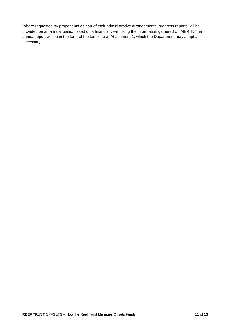Where requested by proponents as part of their administrative arrangements, progress reports will be provided on an annual basis, based on a financial year, using the information gathered on MERIT. The annual report will be in the form of the template at Attachment 1, which the Department may adapt as necessary.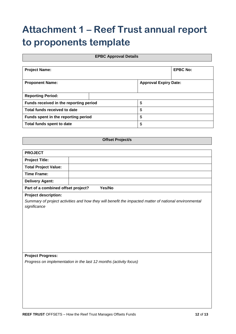## <span id="page-11-0"></span>**Attachment 1 – Reef Trust annual report to proponents template**

### **EPBC Approval Details**

| <b>Project Name:</b>                   | <b>EPBC No:</b> |                              |  |
|----------------------------------------|-----------------|------------------------------|--|
| <b>Proponent Name:</b>                 |                 | <b>Approval Expiry Date:</b> |  |
| <b>Reporting Period:</b>               |                 |                              |  |
| Funds received in the reporting period |                 | \$                           |  |
| Total funds received to date           |                 | \$                           |  |
| Funds spent in the reporting period    | \$              |                              |  |
| Total funds spent to date              | \$              |                              |  |

**Offset Project/s**

| <b>PROJECT</b>                                                                                        |        |  |  |  |
|-------------------------------------------------------------------------------------------------------|--------|--|--|--|
| <b>Project Title:</b>                                                                                 |        |  |  |  |
| <b>Total Project Value:</b>                                                                           |        |  |  |  |
| <b>Time Frame:</b>                                                                                    |        |  |  |  |
| <b>Delivery Agent:</b>                                                                                |        |  |  |  |
| Part of a combined offset project?                                                                    | Yes/No |  |  |  |
| <b>Project description:</b>                                                                           |        |  |  |  |
| Summary of project activities and how they will benefit the impacted matter of national environmental |        |  |  |  |
| significance                                                                                          |        |  |  |  |
|                                                                                                       |        |  |  |  |
|                                                                                                       |        |  |  |  |
|                                                                                                       |        |  |  |  |
|                                                                                                       |        |  |  |  |
|                                                                                                       |        |  |  |  |
|                                                                                                       |        |  |  |  |
| <b>Project Progress:</b>                                                                              |        |  |  |  |
| Progress on implementation in the last 12 months (activity focus)                                     |        |  |  |  |
|                                                                                                       |        |  |  |  |
|                                                                                                       |        |  |  |  |
|                                                                                                       |        |  |  |  |
|                                                                                                       |        |  |  |  |
|                                                                                                       |        |  |  |  |
|                                                                                                       |        |  |  |  |